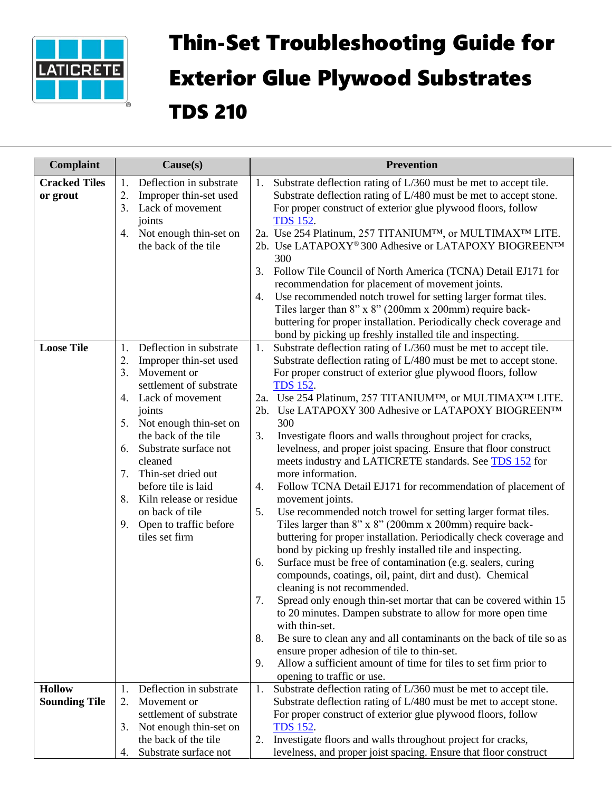

## Thin-Set Troubleshooting Guide for Exterior Glue Plywood Substrates TDS 210

| Complaint                             | Cause(s)                                                                                                                                                                                                                                                                                                                                                                                                  | <b>Prevention</b>                                                                                                                                                                                                                                                                                                                                                                                                                                                                                                                                                                                                                                                                                                                                                                                                                                                                                                                                                                                                                                                                                                                                                                                                                                                                                                                                                                                                                                                                                                                                                                                              |
|---------------------------------------|-----------------------------------------------------------------------------------------------------------------------------------------------------------------------------------------------------------------------------------------------------------------------------------------------------------------------------------------------------------------------------------------------------------|----------------------------------------------------------------------------------------------------------------------------------------------------------------------------------------------------------------------------------------------------------------------------------------------------------------------------------------------------------------------------------------------------------------------------------------------------------------------------------------------------------------------------------------------------------------------------------------------------------------------------------------------------------------------------------------------------------------------------------------------------------------------------------------------------------------------------------------------------------------------------------------------------------------------------------------------------------------------------------------------------------------------------------------------------------------------------------------------------------------------------------------------------------------------------------------------------------------------------------------------------------------------------------------------------------------------------------------------------------------------------------------------------------------------------------------------------------------------------------------------------------------------------------------------------------------------------------------------------------------|
| <b>Cracked Tiles</b><br>or grout      | Deflection in substrate<br>1.<br>2.<br>Improper thin-set used<br>3.<br>Lack of movement<br>joints<br>Not enough thin-set on<br>4.<br>the back of the tile                                                                                                                                                                                                                                                 | Substrate deflection rating of L/360 must be met to accept tile.<br>1.<br>Substrate deflection rating of L/480 must be met to accept stone.<br>For proper construct of exterior glue plywood floors, follow<br><b>TDS 152.</b><br>2a. Use 254 Platinum, 257 TITANIUM <sup>TM</sup> , or MULTIMAX <sup>TM</sup> LITE.<br>2b. Use LATAPOXY® 300 Adhesive or LATAPOXY BIOGREEN™<br>300<br>3.<br>Follow Tile Council of North America (TCNA) Detail EJ171 for<br>recommendation for placement of movement joints.<br>Use recommended notch trowel for setting larger format tiles.<br>4.<br>Tiles larger than 8" x 8" (200mm x 200mm) require back-<br>buttering for proper installation. Periodically check coverage and                                                                                                                                                                                                                                                                                                                                                                                                                                                                                                                                                                                                                                                                                                                                                                                                                                                                                          |
| <b>Loose Tile</b>                     | Deflection in substrate<br>1.<br>2.<br>Improper thin-set used<br>3. Movement or<br>settlement of substrate<br>Lack of movement<br>4.<br>joints<br>Not enough thin-set on<br>5.<br>the back of the tile<br>Substrate surface not<br>6.<br>cleaned<br>Thin-set dried out<br>7.<br>before tile is laid<br>8.<br>Kiln release or residue<br>on back of tile<br>Open to traffic before<br>9.<br>tiles set firm | bond by picking up freshly installed tile and inspecting.<br>Substrate deflection rating of L/360 must be met to accept tile.<br>1.<br>Substrate deflection rating of L/480 must be met to accept stone.<br>For proper construct of exterior glue plywood floors, follow<br><b>TDS 152.</b><br>2a. Use 254 Platinum, 257 TITANIUM <sup>TM</sup> , or MULTIMAX <sup>TM</sup> LITE.<br>2b. Use LATAPOXY 300 Adhesive or LATAPOXY BIOGREENTM<br>300<br>3.<br>Investigate floors and walls throughout project for cracks,<br>levelness, and proper joist spacing. Ensure that floor construct<br>meets industry and LATICRETE standards. See TDS 152 for<br>more information.<br>Follow TCNA Detail EJ171 for recommendation of placement of<br>4.<br>movement joints.<br>Use recommended notch trowel for setting larger format tiles.<br>5.<br>Tiles larger than $8$ " x $8$ " (200mm x 200mm) require back-<br>buttering for proper installation. Periodically check coverage and<br>bond by picking up freshly installed tile and inspecting.<br>Surface must be free of contamination (e.g. sealers, curing<br>6.<br>compounds, coatings, oil, paint, dirt and dust). Chemical<br>cleaning is not recommended.<br>7.<br>Spread only enough thin-set mortar that can be covered within 15<br>to 20 minutes. Dampen substrate to allow for more open time<br>with thin-set.<br>Be sure to clean any and all contaminants on the back of tile so as<br>8.<br>ensure proper adhesion of tile to thin-set.<br>9.<br>Allow a sufficient amount of time for tiles to set firm prior to<br>opening to traffic or use. |
| <b>Hollow</b><br><b>Sounding Tile</b> | Deflection in substrate<br>1.<br>Movement or<br>2.<br>settlement of substrate<br>Not enough thin-set on<br>3.<br>the back of the tile<br>Substrate surface not<br>4.                                                                                                                                                                                                                                      | Substrate deflection rating of L/360 must be met to accept tile.<br>1.<br>Substrate deflection rating of L/480 must be met to accept stone.<br>For proper construct of exterior glue plywood floors, follow<br><b>TDS</b> 152.<br>Investigate floors and walls throughout project for cracks,<br>2.<br>levelness, and proper joist spacing. Ensure that floor construct                                                                                                                                                                                                                                                                                                                                                                                                                                                                                                                                                                                                                                                                                                                                                                                                                                                                                                                                                                                                                                                                                                                                                                                                                                        |